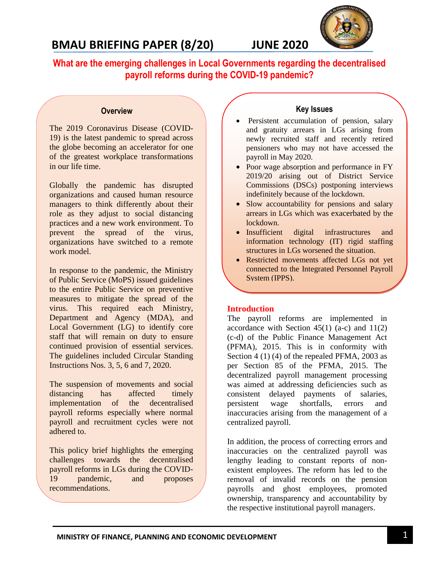

**What are the emerging challenges in Local Governments regarding the decentralised payroll reforms during the COVID-19 pandemic?**

#### **Overview**

The 2019 Coronavirus Disease (COVID-19) is the latest pandemic to spread across the globe becoming an accelerator for one of the greatest workplace transformations in our life time.

Globally the pandemic has disrupted organizations and caused human resource managers to think differently about their role as they adjust to social distancing practices and a new work environment. To prevent the spread of the virus, organizations have switched to a remote work model.

In response to the pandemic, the Ministry of Public Service (MoPS) issued guidelines to the entire Public Service on preventive measures to mitigate the spread of the virus. This required each Ministry, Department and Agency (MDA), and Local Government (LG) to identify core staff that will remain on duty to ensure continued provision of essential services. The guidelines included Circular Standing Instructions Nos. 3, 5, 6 and 7, 2020.

The suspension of movements and social distancing has affected timely implementation of the decentralised payroll reforms especially where normal payroll and recruitment cycles were not adhered to.

This policy brief highlights the emerging challenges towards the decentralised payroll reforms in LGs during the COVID-19 pandemic, and proposes recommendations.

## **Key Issues**

- Persistent accumulation of pension, salary and gratuity arrears in LGs arising from newly recruited staff and recently retired pensioners who may not have accessed the payroll in May 2020.
- Poor wage absorption and performance in FY 2019/20 arising out of District Service Commissions (DSCs) postponing interviews indefinitely because of the lockdown.
- Slow accountability for pensions and salary arrears in LGs which was exacerbated by the lockdown.
- Insufficient digital infrastructures and information technology (IT) rigid staffing structures in LGs worsened the situation.
- Restricted movements affected LGs not yet connected to the Integrated Personnel Payroll System (IPPS).

### **Introduction**

The payroll reforms are implemented in accordance with Section  $45(1)$  (a-c) and  $11(2)$ (c-d) of the Public Finance Management Act (PFMA), 2015. This is in conformity with Section 4 (1) (4) of the repealed PFMA, 2003 as per Section 85 of the PFMA, 2015. The decentralized payroll management processing was aimed at addressing deficiencies such as consistent delayed payments of salaries, persistent wage shortfalls, errors and inaccuracies arising from the management of a centralized payroll.

In addition, the process of correcting errors and inaccuracies on the centralized payroll was lengthy leading to constant reports of nonexistent employees. The reform has led to the removal of invalid records on the pension payrolls and ghost employees, promoted ownership, transparency and accountability by the respective institutional payroll managers.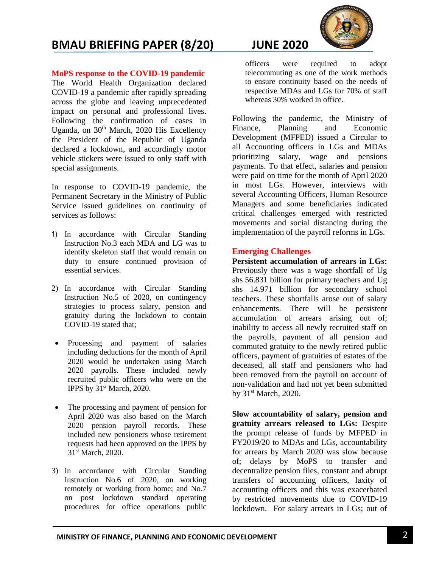

**MoPS response to the COVID-19 pandemic**

The World Health Organization declared COVID-19 a pandemic after rapidly spreading across the globe and leaving unprecedented impact on personal and professional lives. Following the confirmation of cases in Uganda, on  $30<sup>th</sup>$  March, 2020 His Excellency the President of the Republic of Uganda declared a lockdown, and accordingly motor vehicle stickers were issued to only staff with special assignments.

In response to COVID-19 pandemic, the Permanent Secretary in the Ministry of Public Service issued guidelines on continuity of services as follows:

- 1) In accordance with Circular Standing Instruction No.3 each MDA and LG was to identify skeleton staff that would remain on duty to ensure continued provision of essential services.
- 2) In accordance with Circular Standing Instruction No.5 of 2020, on contingency strategies to process salary, pension and gratuity during the lockdown to contain COVID-19 stated that;
- Processing and payment of salaries including deductions for the month of April 2020 would be undertaken using March 2020 payrolls. These included newly recruited public officers who were on the IPPS by 31st March, 2020.
- The processing and payment of pension for April 2020 was also based on the March 2020 pension payroll records. These included new pensioners whose retirement requests had been approved on the IPPS by 31st March, 2020.
- 3) In accordance with Circular Standing Instruction No.6 of 2020, on working remotely or working from home; and No.7 on post lockdown standard operating procedures for office operations public

officers were required to adopt telecommuting as one of the work methods to ensure continuity based on the needs of respective MDAs and LGs for 70% of staff whereas 30% worked in office.

Following the pandemic, the Ministry of Finance, Planning and Economic Development (MFPED) issued a Circular to all Accounting officers in LGs and MDAs prioritizing salary, wage and pensions payments. To that effect, salaries and pension were paid on time for the month of April 2020 in most LGs. However, interviews with several Accounting Officers, Human Resource Managers and some beneficiaries indicated critical challenges emerged with restricted movements and social distancing during the implementation of the payroll reforms in LGs.

## **Emerging Challenges**

**Persistent accumulation of arrears in LGs:** Previously there was a wage shortfall of Ug shs 56.831 billion for primary teachers and Ug shs 14.971 billion for secondary school teachers. These shortfalls arose out of salary enhancements. There will be persistent accumulation of arrears arising out of; inability to access all newly recruited staff on the payrolls, payment of all pension and commuted gratuity to the newly retired public officers, payment of gratuities of estates of the deceased, all staff and pensioners who had been removed from the payroll on account of non-validation and had not yet been submitted by 31<sup>st</sup> March, 2020.

**Slow accountability of salary, pension and gratuity arrears released to LGs:** Despite the prompt release of funds by MFPED in FY2019/20 to MDAs and LGs, accountability for arrears by March 2020 was slow because of; delays by MoPS to transfer and decentralize pension files, constant and abrupt transfers of accounting officers, laxity of accounting officers and this was exacerbated by restricted movements due to COVID-19 lockdown. For salary arrears in LGs; out of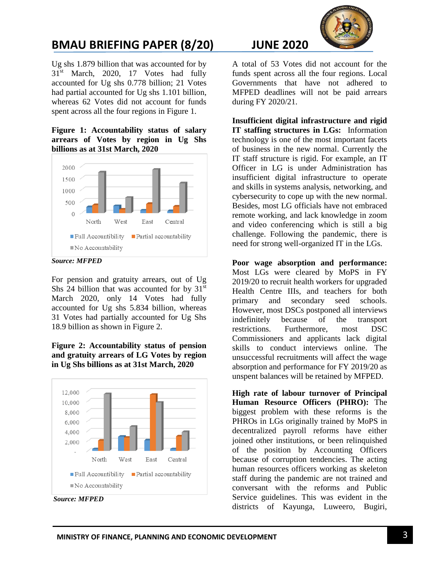

Ug shs 1.879 billion that was accounted for by 31<sup>st</sup> March, 2020, 17 Votes had fully accounted for Ug shs 0.778 billion; 21 Votes had partial accounted for Ug shs 1.101 billion, whereas 62 Votes did not account for funds spent across all the four regions in Figure 1.

#### **Figure 1: Accountability status of salary arrears of Votes by region in Ug Shs billions as at 31st March, 2020**



*Source: MFPED*

For pension and gratuity arrears, out of Ug Shs 24 billion that was accounted for by  $31<sup>st</sup>$ March 2020, only 14 Votes had fully accounted for Ug shs 5.834 billion, whereas 31 Votes had partially accounted for Ug Shs 18.9 billion as shown in Figure 2.

**Figure 2: Accountability status of pension and gratuity arrears of LG Votes by region in Ug Shs billions as at 31st March, 2020**



*Source: MFPED*

A total of 53 Votes did not account for the funds spent across all the four regions. Local Governments that have not adhered to MFPED deadlines will not be paid arrears during FY 2020/21.

**Insufficient digital infrastructure and rigid IT staffing structures in LGs:** Information technology is one of the most important facets of business in the new normal. Currently the IT staff structure is rigid. For example, an IT Officer in LG is under Administration has insufficient digital infrastructure to operate and skills in systems analysis, networking, and cybersecurity to cope up with the new normal. Besides, most LG officials have not embraced remote working, and lack knowledge in zoom and video conferencing which is still a big challenge. Following the pandemic, there is need for strong well-organized IT in the LGs.

**Poor wage absorption and performance:** Most LGs were cleared by MoPS in FY 2019/20 to recruit health workers for upgraded Health Centre IIIs, and teachers for both primary and secondary seed schools. However, most DSCs postponed all interviews indefinitely because of the transport restrictions. Furthermore, most DSC Commissioners and applicants lack digital skills to conduct interviews online. The unsuccessful recruitments will affect the wage absorption and performance for FY 2019/20 as unspent balances will be retained by MFPED.

**High rate of labour turnover of Principal Human Resource Officers (PHRO):** The biggest problem with these reforms is the PHROs in LGs originally trained by MoPS in decentralized payroll reforms have either joined other institutions, or been relinquished of the position by Accounting Officers because of corruption tendencies. The acting human resources officers working as skeleton staff during the pandemic are not trained and conversant with the reforms and Public Service guidelines. This was evident in the districts of Kayunga, Luweero, Bugiri,